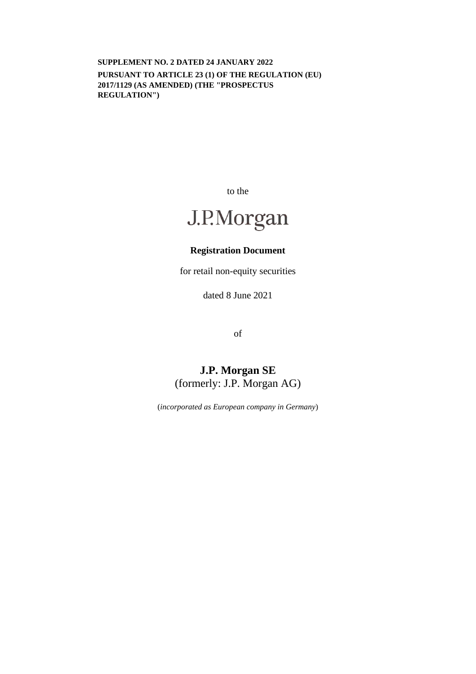**SUPPLEMENT NO. 2 DATED 24 JANUARY 2022 PURSUANT TO ARTICLE 23 (1) OF THE REGULATION (EU) 2017/1129 (AS AMENDED) (THE "PROSPECTUS REGULATION")** 

to the

# J.P.Morgan

## **Registration Document**

for retail non-equity securities

dated 8 June 2021

of

## **J.P. Morgan SE**  (formerly: J.P. Morgan AG)

(*incorporated as European company in Germany*)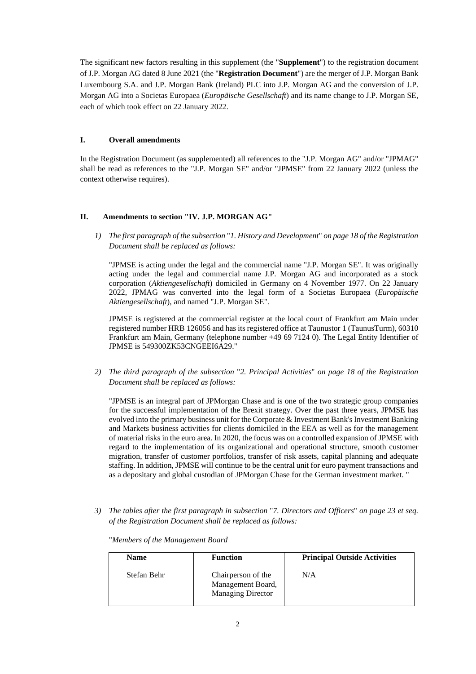The significant new factors resulting in this supplement (the "**Supplement**") to the registration document of J.P. Morgan AG dated 8 June 2021 (the "**Registration Document**") are the merger of J.P. Morgan Bank Luxembourg S.A. and J.P. Morgan Bank (Ireland) PLC into J.P. Morgan AG and the conversion of J.P. Morgan AG into a Societas Europaea (*Europäische Gesellschaft*) and its name change to J.P. Morgan SE, each of which took effect on 22 January 2022.

### **I. Overall amendments**

In the Registration Document (as supplemented) all references to the "J.P. Morgan AG" and/or "JPMAG" shall be read as references to the "J.P. Morgan SE" and/or "JPMSE" from 22 January 2022 (unless the context otherwise requires).

### **II. Amendments to section "IV. J.P. MORGAN AG"**

*1) The first paragraph of the subsection* "*1. History and Development*" *on page 18 of the Registration Document shall be replaced as follows:* 

"JPMSE is acting under the legal and the commercial name "J.P. Morgan SE". It was originally acting under the legal and commercial name J.P. Morgan AG and incorporated as a stock corporation (*Aktiengesellschaft*) domiciled in Germany on 4 November 1977. On 22 January 2022, JPMAG was converted into the legal form of a Societas Europaea (*Europäische Aktiengesellschaft*), and named "J.P. Morgan SE".

JPMSE is registered at the commercial register at the local court of Frankfurt am Main under registered number HRB 126056 and has its registered office at Taunustor 1 (TaunusTurm), 60310 Frankfurt am Main, Germany (telephone number +49 69 7124 0). The Legal Entity Identifier of JPMSE is 549300ZK53CNGEEI6A29."

*2) The third paragraph of the subsection* "*2. Principal Activities*" *on page 18 of the Registration Document shall be replaced as follows:* 

"JPMSE is an integral part of JPMorgan Chase and is one of the two strategic group companies for the successful implementation of the Brexit strategy. Over the past three years, JPMSE has evolved into the primary business unit for the Corporate & Investment Bank's Investment Banking and Markets business activities for clients domiciled in the EEA as well as for the management of material risks in the euro area. In 2020, the focus was on a controlled expansion of JPMSE with regard to the implementation of its organizational and operational structure, smooth customer migration, transfer of customer portfolios, transfer of risk assets, capital planning and adequate staffing. In addition, JPMSE will continue to be the central unit for euro payment transactions and as a depositary and global custodian of JPMorgan Chase for the German investment market. "

*3) The tables after the first paragraph in subsection* "*7. Directors and Officers*" *on page 23 et seq. of the Registration Document shall be replaced as follows:* 

| <b>Name</b> | <b>Function</b>                                                     | <b>Principal Outside Activities</b> |
|-------------|---------------------------------------------------------------------|-------------------------------------|
| Stefan Behr | Chairperson of the<br>Management Board,<br><b>Managing Director</b> | N/A                                 |

"*Members of the Management Board*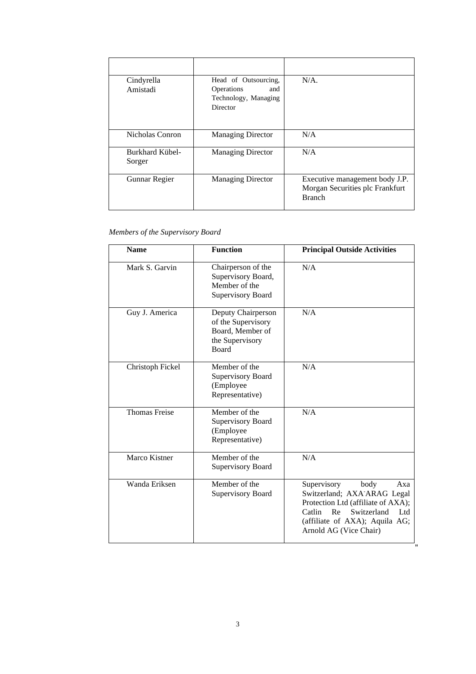| Cindyrella<br>Amistadi           | Head of Outsourcing,<br>Operations<br>and<br>Technology, Managing<br>Director | $N/A$ .                                                                            |
|----------------------------------|-------------------------------------------------------------------------------|------------------------------------------------------------------------------------|
| Nicholas Conron                  | <b>Managing Director</b>                                                      | N/A                                                                                |
| <b>Burkhard Kübel-</b><br>Sorger | <b>Managing Director</b>                                                      | N/A                                                                                |
| Gunnar Regier                    | <b>Managing Director</b>                                                      | Executive management body J.P.<br>Morgan Securities plc Frankfurt<br><b>Branch</b> |

### *Members of the Supervisory Board*

| <b>Name</b>          | <b>Function</b>                                                                                 | <b>Principal Outside Activities</b>                                                                                                                                                               |
|----------------------|-------------------------------------------------------------------------------------------------|---------------------------------------------------------------------------------------------------------------------------------------------------------------------------------------------------|
| Mark S. Garvin       | Chairperson of the<br>Supervisory Board,<br>Member of the<br><b>Supervisory Board</b>           | N/A                                                                                                                                                                                               |
| Guy J. America       | Deputy Chairperson<br>of the Supervisory<br>Board, Member of<br>the Supervisory<br><b>Board</b> | N/A                                                                                                                                                                                               |
| Christoph Fickel     | Member of the<br><b>Supervisory Board</b><br>(Employee<br>Representative)                       | N/A                                                                                                                                                                                               |
| <b>Thomas Freise</b> | Member of the<br><b>Supervisory Board</b><br>(Employee<br>Representative)                       | N/A                                                                                                                                                                                               |
| Marco Kistner        | Member of the<br><b>Supervisory Board</b>                                                       | N/A                                                                                                                                                                                               |
| Wanda Eriksen        | Member of the<br><b>Supervisory Board</b>                                                       | Supervisory<br>body<br>Axa<br>Switzerland; AXA-ARAG Legal<br>Protection Ltd (affiliate of AXA);<br>Catlin<br>Re<br>Switzerland<br>Ltd<br>(affiliate of AXA); Aquila AG;<br>Arnold AG (Vice Chair) |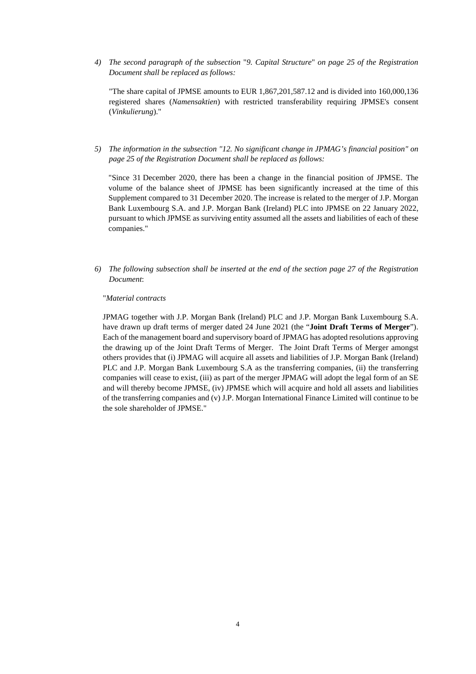*4) The second paragraph of the subsection* "*9. Capital Structure*" *on page 25 of the Registration Document shall be replaced as follows:* 

"The share capital of JPMSE amounts to EUR 1,867,201,587.12 and is divided into 160,000,136 registered shares (*Namensaktien*) with restricted transferability requiring JPMSE's consent (*Vinkulierung*)."

*5) The information in the subsection "12. No significant change in JPMAG's financial position" on page 25 of the Registration Document shall be replaced as follows:* 

"Since 31 December 2020, there has been a change in the financial position of JPMSE. The volume of the balance sheet of JPMSE has been significantly increased at the time of this Supplement compared to 31 December 2020. The increase is related to the merger of J.P. Morgan Bank Luxembourg S.A. and J.P. Morgan Bank (Ireland) PLC into JPMSE on 22 January 2022, pursuant to which JPMSE as surviving entity assumed all the assets and liabilities of each of these companies."

*6) The following subsection shall be inserted at the end of the section page 27 of the Registration Document*:

#### "*Material contracts*

JPMAG together with J.P. Morgan Bank (Ireland) PLC and J.P. Morgan Bank Luxembourg S.A. have drawn up draft terms of merger dated 24 June 2021 (the "**Joint Draft Terms of Merger**"). Each of the management board and supervisory board of JPMAG has adopted resolutions approving the drawing up of the Joint Draft Terms of Merger. The Joint Draft Terms of Merger amongst others provides that (i) JPMAG will acquire all assets and liabilities of J.P. Morgan Bank (Ireland) PLC and J.P. Morgan Bank Luxembourg S.A as the transferring companies, (ii) the transferring companies will cease to exist, (iii) as part of the merger JPMAG will adopt the legal form of an SE and will thereby become JPMSE, (iv) JPMSE which will acquire and hold all assets and liabilities of the transferring companies and (v) J.P. Morgan International Finance Limited will continue to be the sole shareholder of JPMSE."